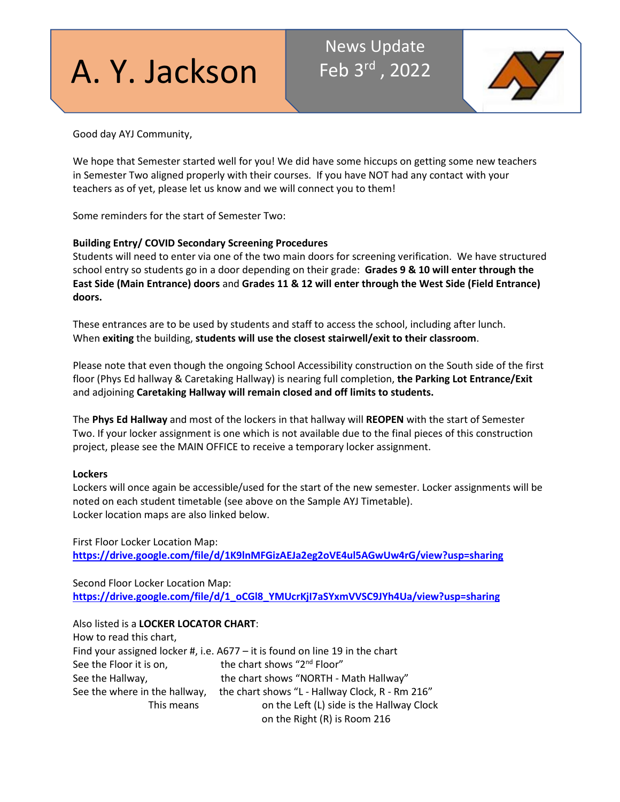# A. Y. Jackson

# News Update Feb 3rd , 2022



Good day AYJ Community,

We hope that Semester started well for you! We did have some hiccups on getting some new teachers in Semester Two aligned properly with their courses. If you have NOT had any contact with your teachers as of yet, please let us know and we will connect you to them!

Some reminders for the start of Semester Two:

### **Building Entry/ COVID Secondary Screening Procedures**

Students will need to enter via one of the two main doors for screening verification. We have structured school entry so students go in a door depending on their grade: **Grades 9 & 10 will enter through the East Side (Main Entrance) doors** and **Grades 11 & 12 will enter through the West Side (Field Entrance) doors.**

These entrances are to be used by students and staff to access the school, including after lunch. When **exiting** the building, **students will use the closest stairwell/exit to their classroom**.

Please note that even though the ongoing School Accessibility construction on the South side of the first floor (Phys Ed hallway & Caretaking Hallway) is nearing full completion, **the Parking Lot Entrance/Exit** and adjoining **Caretaking Hallway will remain closed and off limits to students.**

The **Phys Ed Hallway** and most of the lockers in that hallway will **REOPEN** with the start of Semester Two. If your locker assignment is one which is not available due to the final pieces of this construction project, please see the MAIN OFFICE to receive a temporary locker assignment.

#### **Lockers**

Lockers will once again be accessible/used for the start of the new semester. Locker assignments will be noted on each student timetable (see above on the Sample AYJ Timetable). Locker location maps are also linked below.

First Floor Locker Location Map: **[https://drive.google.com/file/d/1K9lnMFGizAEJa2eg2oVE4ul5AGwUw4rG/view?usp=sharing](http://track.spe.schoolmessenger.com/f/a/WaLsftjfEqqxHskgreCv9g%7E%7E/AAAAAQA%7E/RgRj3VoHP0RSaHR0cHM6Ly9kcml2ZS5nb29nbGUuY29tL2ZpbGUvZC8xSzlsbk1GR2l6QUVKYTJlZzJvVkU0dWw1QUd3VXc0ckcvdmlldz91c3A9c2hhcmluZ1cHc2Nob29sbUIKYfmHJvxhctqrY1IWa2FyaW0uc3VraHVAdGRzYi5vbi5jYVgEAAAAAg%7E%7E)**

Second Floor Locker Location Map: **[https://drive.google.com/file/d/1\\_oCGl8\\_YMUcrKjI7aSYxmVVSC9JYh4Ua/view?usp=sharing](http://track.spe.schoolmessenger.com/f/a/bBoWauQFejhrIS1_MmHEeA%7E%7E/AAAAAQA%7E/RgRj3VoHP0RSaHR0cHM6Ly9kcml2ZS5nb29nbGUuY29tL2ZpbGUvZC8xX29DR2w4X1lNVWNyS2pJN2FTWXhtVlZTQzlKWWg0VWEvdmlldz91c3A9c2hhcmluZ1cHc2Nob29sbUIKYfmHJvxhctqrY1IWa2FyaW0uc3VraHVAdGRzYi5vbi5jYVgEAAAAAg%7E%7E)**

### Also listed is a **LOCKER LOCATOR CHART**:

| How to read this chart,       |                                                                                   |
|-------------------------------|-----------------------------------------------------------------------------------|
|                               | Find your assigned locker #, i.e. $A677 - it$ it is found on line 19 in the chart |
| See the Floor it is on,       | the chart shows "2 <sup>nd</sup> Floor"                                           |
| See the Hallway,              | the chart shows "NORTH - Math Hallway"                                            |
| See the where in the hallway, | the chart shows "L - Hallway Clock, R - Rm 216"                                   |
| This means                    | on the Left (L) side is the Hallway Clock                                         |
|                               | on the Right (R) is Room 216                                                      |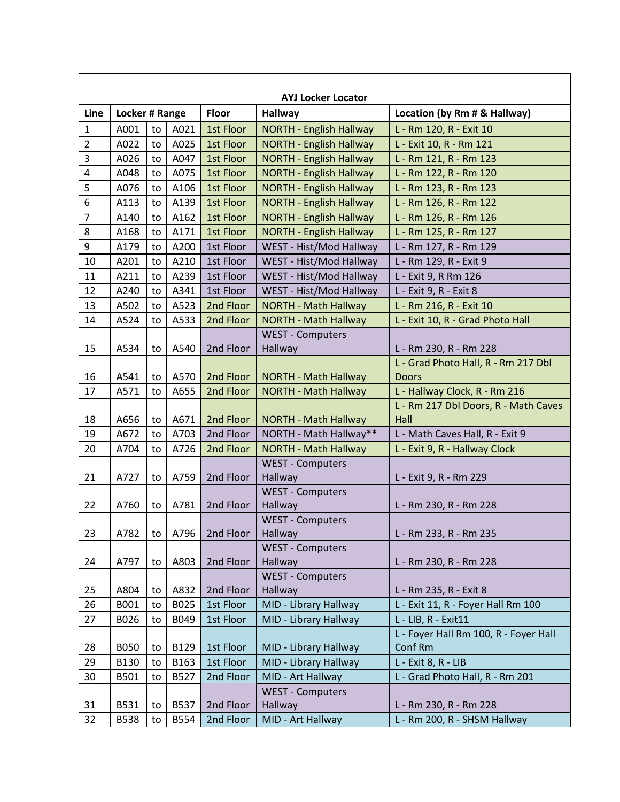| <b>AYJ Locker Locator</b> |                |    |              |                |                                    |                                       |
|---------------------------|----------------|----|--------------|----------------|------------------------------------|---------------------------------------|
| Line                      | Locker # Range |    | <b>Floor</b> | <b>Hallway</b> | Location (by Rm # & Hallway)       |                                       |
| $\mathbf 1$               | A001           | to | A021         | 1st Floor      | <b>NORTH - English Hallway</b>     | L - Rm 120, R - Exit 10               |
| $\overline{2}$            | A022           | to | A025         | 1st Floor      | <b>NORTH - English Hallway</b>     | L - Exit 10, R - Rm 121               |
| $\overline{3}$            | A026           | to | A047         | 1st Floor      | <b>NORTH - English Hallway</b>     | L - Rm 121, R - Rm 123                |
| $\overline{\mathbf{4}}$   | A048           | to | A075         | 1st Floor      | <b>NORTH - English Hallway</b>     | L - Rm 122, R - Rm 120                |
| 5                         | A076           | to | A106         | 1st Floor      | <b>NORTH - English Hallway</b>     | L - Rm 123, R - Rm 123                |
| 6                         | A113           | to | A139         | 1st Floor      | <b>NORTH - English Hallway</b>     | L - Rm 126, R - Rm 122                |
| $\overline{7}$            | A140           | to | A162         | 1st Floor      | <b>NORTH - English Hallway</b>     | L - Rm 126, R - Rm 126                |
| 8                         | A168           | to | A171         | 1st Floor      | <b>NORTH - English Hallway</b>     | L - Rm 125, R - Rm 127                |
| 9                         | A179           | to | A200         | 1st Floor      | WEST - Hist/Mod Hallway            | L - Rm 127, R - Rm 129                |
| 10                        | A201           | to | A210         | 1st Floor      | WEST - Hist/Mod Hallway            | L - Rm 129, R - Exit 9                |
| 11                        | A211           | to | A239         | 1st Floor      | WEST - Hist/Mod Hallway            | L - Exit 9, R Rm 126                  |
| 12                        | A240           | to | A341         | 1st Floor      | WEST - Hist/Mod Hallway            | L - Exit 9, R - Exit 8                |
| 13                        | A502           | to | A523         | 2nd Floor      | <b>NORTH - Math Hallway</b>        | L - Rm 216, R - Exit 10               |
| 14                        | A524           | to | A533         | 2nd Floor      | <b>NORTH - Math Hallway</b>        | L - Exit 10, R - Grad Photo Hall      |
|                           |                |    |              |                | <b>WEST - Computers</b>            |                                       |
| 15                        | A534           | to | A540         | 2nd Floor      | Hallway                            | L - Rm 230, R - Rm 228                |
|                           |                |    |              |                |                                    | L - Grad Photo Hall, R - Rm 217 Dbl   |
| 16                        | A541           | to | A570         | 2nd Floor      | <b>NORTH - Math Hallway</b>        | <b>Doors</b>                          |
| 17                        | A571           | to | A655         | 2nd Floor      | <b>NORTH - Math Hallway</b>        | L - Hallway Clock, R - Rm 216         |
|                           |                |    |              |                |                                    | L - Rm 217 Dbl Doors, R - Math Caves  |
| 18                        | A656           | to | A671         | 2nd Floor      | NORTH - Math Hallway               | Hall                                  |
| 19                        | A672           | to | A703         | 2nd Floor      | NORTH - Math Hallway**             | L - Math Caves Hall, R - Exit 9       |
| 20                        | A704           | to | A726         | 2nd Floor      | <b>NORTH - Math Hallway</b>        | L - Exit 9, R - Hallway Clock         |
|                           |                |    |              |                | <b>WEST - Computers</b>            |                                       |
| 21                        | A727           | to | A759         | 2nd Floor      | Hallway                            | L - Exit 9, R - Rm 229                |
|                           |                |    |              |                | <b>WEST - Computers</b>            |                                       |
| 22                        | A760           | to | A781         | 2nd Floor      | Hallway                            | L - Rm 230, R - Rm 228                |
|                           |                |    |              |                | <b>WEST - Computers</b>            |                                       |
| 23                        | A782           | to | A796         | 2nd Floor      | Hallway                            | L - Rm 233, R - Rm 235                |
|                           |                |    |              |                | <b>WEST - Computers</b>            | L - Rm 230, R - Rm 228                |
| 24                        | A797           | to | A803         | 2nd Floor      | Hallway<br><b>WEST - Computers</b> |                                       |
| 25                        | A804           | to | A832         | 2nd Floor      | Hallway                            | L - Rm 235, R - Exit 8                |
| 26                        | B001           | to | B025         | 1st Floor      | MID - Library Hallway              | L - Exit 11, R - Foyer Hall Rm 100    |
| 27                        | B026           | to | B049         | 1st Floor      | MID - Library Hallway              | L - LIB, R - Exit11                   |
|                           |                |    |              |                |                                    | L - Foyer Hall Rm 100, R - Foyer Hall |
| 28                        | <b>B050</b>    | to | B129         | 1st Floor      | MID - Library Hallway              | Conf Rm                               |
| 29                        | B130           | to | B163         | 1st Floor      | MID - Library Hallway              | L - Exit 8, R - LIB                   |
| 30                        | B501           | to | B527         | 2nd Floor      | MID - Art Hallway                  | L - Grad Photo Hall, R - Rm 201       |
|                           |                |    |              |                | <b>WEST - Computers</b>            |                                       |
| 31                        | B531           | to | B537         | 2nd Floor      | Hallway                            | L - Rm 230, R - Rm 228                |
| 32                        | <b>B538</b>    | to | B554         | 2nd Floor      | MID - Art Hallway                  | L - Rm 200, R - SHSM Hallway          |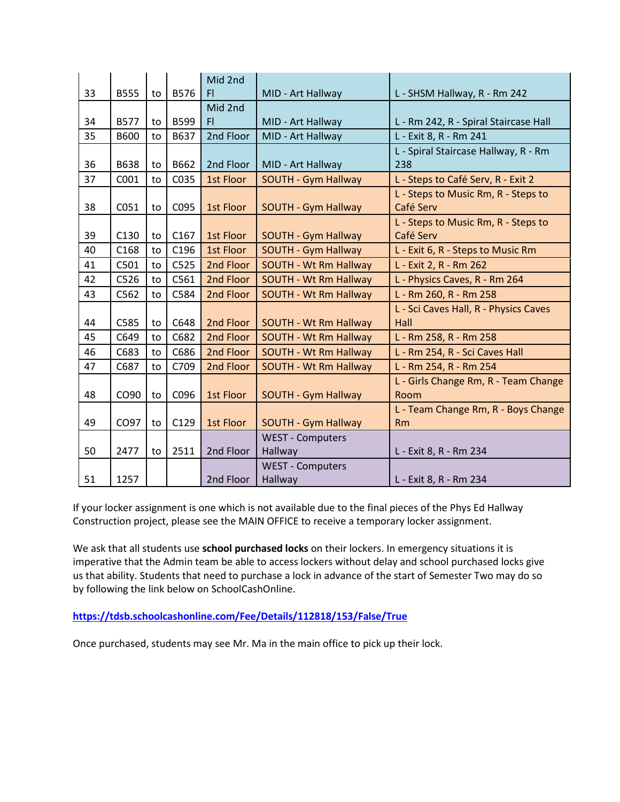|    |             |    |      | Mid 2nd   |                              |                                       |
|----|-------------|----|------|-----------|------------------------------|---------------------------------------|
| 33 | <b>B555</b> | to | B576 | F1        | MID - Art Hallway            | L - SHSM Hallway, R - Rm 242          |
|    |             |    |      | Mid 2nd   |                              |                                       |
| 34 | <b>B577</b> | to | B599 | FI.       | MID - Art Hallway            | L - Rm 242, R - Spiral Staircase Hall |
| 35 | <b>B600</b> | to | B637 | 2nd Floor | MID - Art Hallway            | L - Exit 8, R - Rm 241                |
|    |             |    |      |           |                              | L - Spiral Staircase Hallway, R - Rm  |
| 36 | B638        | to | B662 | 2nd Floor | MID - Art Hallway            | 238                                   |
| 37 | C001        | to | C035 | 1st Floor | SOUTH - Gym Hallway          | L - Steps to Café Serv, R - Exit 2    |
|    |             |    |      |           |                              | L - Steps to Music Rm, R - Steps to   |
| 38 | C051        | to | C095 | 1st Floor | SOUTH - Gym Hallway          | Café Serv                             |
|    |             |    |      |           |                              | L - Steps to Music Rm, R - Steps to   |
| 39 | C130        | to | C167 | 1st Floor | <b>SOUTH - Gym Hallway</b>   | Café Serv                             |
| 40 | C168        | to | C196 | 1st Floor | <b>SOUTH - Gym Hallway</b>   | L - Exit 6, R - Steps to Music Rm     |
| 41 | C501        | to | C525 | 2nd Floor | <b>SOUTH - Wt Rm Hallway</b> | L - Exit 2, R - Rm 262                |
| 42 | C526        | to | C561 | 2nd Floor | <b>SOUTH - Wt Rm Hallway</b> | L - Physics Caves, R - Rm 264         |
| 43 | C562        | to | C584 | 2nd Floor | <b>SOUTH - Wt Rm Hallway</b> | L - Rm 260, R - Rm 258                |
|    |             |    |      |           |                              | L - Sci Caves Hall, R - Physics Caves |
| 44 | C585        | to | C648 | 2nd Floor | <b>SOUTH - Wt Rm Hallway</b> | Hall                                  |
| 45 | C649        | to | C682 | 2nd Floor | <b>SOUTH - Wt Rm Hallway</b> | L - Rm 258, R - Rm 258                |
| 46 | C683        | to | C686 | 2nd Floor | <b>SOUTH - Wt Rm Hallway</b> | L - Rm 254, R - Sci Caves Hall        |
| 47 | C687        | to | C709 | 2nd Floor | <b>SOUTH - Wt Rm Hallway</b> | L - Rm 254, R - Rm 254                |
|    |             |    |      |           |                              | L - Girls Change Rm, R - Team Change  |
| 48 | CO90        | to | C096 | 1st Floor | SOUTH - Gym Hallway          | Room                                  |
|    |             |    |      |           |                              | L - Team Change Rm, R - Boys Change   |
| 49 | CO97        | to | C129 | 1st Floor | <b>SOUTH - Gym Hallway</b>   | <b>Rm</b>                             |
|    |             |    |      |           | <b>WEST - Computers</b>      |                                       |
| 50 | 2477        | to | 2511 | 2nd Floor | Hallway                      | L - Exit 8, R - Rm 234                |
|    |             |    |      |           | <b>WEST - Computers</b>      |                                       |
| 51 | 1257        |    |      | 2nd Floor | Hallway                      | L - Exit 8, R - Rm 234                |

If your locker assignment is one which is not available due to the final pieces of the Phys Ed Hallway Construction project, please see the MAIN OFFICE to receive a temporary locker assignment.

We ask that all students use **school purchased locks** on their lockers. In emergency situations it is imperative that the Admin team be able to access lockers without delay and school purchased locks give us that ability. Students that need to purchase a lock in advance of the start of Semester Two may do so by following the link below on SchoolCashOnline.

**[https://tdsb.schoolcashonline.com/Fee/Details/112818/153/False/True](http://track.spe.schoolmessenger.com/f/a/PqdQdArqWfAJqyCw5p9Tlg%7E%7E/AAAAAQA%7E/RgRj3VoHP0T7aHR0cDovL3RyYWNrLnNwZS5zY2hvb2xtZXNzZW5nZXIuY29tL2YvYS8zX3hhSjl2SkdPbW1fNGQ2Y1ZERW9nfn4vQUFBQUFRQX4vUmdSajB2ajJQMFJEYUhSMGNITTZMeTkwWkhOaUxuTmphRzl2YkdOaGMyaHZibXhwYm1VdVkyOXRMMFpsWlM5RVpYUmhhV3h6THpFeE1qZ3hPQzh4TlRNdlJtRnNjMlV2VkhKMVpWY0hjMk5vYjI5c2JVSUtZZWwyeGZGaFZiWWhYMUlaY0dWMFpYSXVjR0Z3ZFhSemFYTkFkR1J6WWk1dmJpNWpZVmdFQUFBQUFnfn5XB3NjaG9vbG1CCmH5hyb8YXLaq2NSFmthcmltLnN1a2h1QHRkc2Iub24uY2FYBAAAAAI%7E)**

Once purchased, students may see Mr. Ma in the main office to pick up their lock.